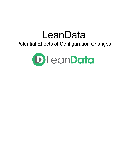# LeanData

# Potential Effects of Configuration Changes

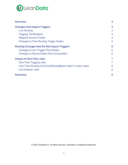

| <b>Overview</b>                                           | 3 |
|-----------------------------------------------------------|---|
| <b>Changes that Impact Triggers</b>                       | 3 |
| Live Routing                                              | 3 |
| <b>Tagging Tie-Breakers</b>                               | 4 |
| <b>Mapped-Account Fields</b>                              | 4 |
| <b>Changes to Flow Routing Trigger Nodes</b>              | 5 |
| <b>Routing Changes that Do Not Impact Triggers</b>        | 6 |
| Changes to non-Trigger Flow Nodes                         | 6 |
| <b>Changes to Round Robin Pool Composition</b>            | 6 |
| <b>Impact of One-Time Jobs</b>                            | 7 |
| One-Time Tagging Jobs                                     | 7 |
| One-Time Routing (OneTimeRoutingBatch batch in Apex Jobs) | 8 |
| <b>List Analyzer Jobs</b>                                 | 9 |
| <b>Summary</b>                                            | 9 |

© 2020 LeanData Inc. All rights reserved. LeanData is a registered trademark.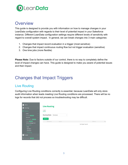

## <span id="page-2-0"></span>**Overview**

This guide is designed to provide you with information on how to manage changes in your LeanData configuration with regards to their level of potential impact in your Salesforce instance. Different LeanData configuration settings require different levels of sensitivity with regard to overall system impact. In general, we can break changes into 3 main categories:

- 1. Changes that impact record evaluation in a trigger (most sensitive)
- 2. Changes that impact continuous routing flow but not trigger evaluation (sensitive)
- 3. One time jobs (more flexible)

**Please Note:** Due to factors outside of our control, there is no way to completely define the level of impact changes can have. This guide is designed to make you aware of potential issues and their impact.

# <span id="page-2-1"></span>Changes that Impact Triggers

#### <span id="page-2-2"></span>Live Routing

Configuring Live Routing conditions correctly is essential, because LeanData will only store audit information when leads meeting Live Routing conditions are processed. There will be no logs for records that did not process so troubleshooting may be difficult.

| Home<br>m                                    |                                | <b>Live Routing</b>  |           |         |              |  |                |         |      |
|----------------------------------------------|--------------------------------|----------------------|-----------|---------|--------------|--|----------------|---------|------|
| ◈<br>Matching                                | $\rightarrow$                  |                      |           |         |              |  |                |         |      |
| ⊕<br><b>Routing</b>                          | $\checkmark$                   | Leads                |           |         |              |  |                |         |      |
| Leads<br>Contacts UPGRADE                    | $\rightarrow$<br>$\rightarrow$ | <b>Routing Rules</b> | New Leads |         | $\checkmark$ |  |                |         |      |
| Accounts<br>Opportunities UPGRADE            | $\rightarrow$<br>$\rightarrow$ | <b>Add Rule</b>      |           |         |              |  |                |         |      |
| Cases UPGRADE<br><b>Territory Management</b> | $\rightarrow$                  | Rule Name            |           | Details |              |  |                | RR Pool | Reco |
| Round Robin                                  | $\checkmark$                   |                      |           |         |              |  | No Rules Found |         |      |
| Pools                                        |                                |                      |           |         |              |  |                |         |      |
| <b>Members</b><br>Schedules<br>Live Routing  |                                |                      |           |         |              |  |                |         |      |
| <b>Copie</b> People                          |                                |                      |           |         |              |  |                |         |      |
| Attribution UPGRADE                          | $\rightarrow$                  |                      |           |         |              |  |                |         |      |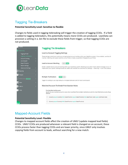

## <span id="page-3-0"></span>Tagging Tie-Breakers

#### **Potential Sensitivity Level: Sensitive to flexible**

Changes to fields used in tagging tiebreaking will trigger the creation of tagging CCIOs. If a field is added to tagging tiebreakers, this potentially means more CCIOs are produced. LeanData can provision a setting in a .bin file to exclude these fields from trigger, so that tagging CCIOs are not produced.

| Home                                                            | <b>Tagging Tie Breakers</b>                                                                                                                                                                                                                                          |
|-----------------------------------------------------------------|----------------------------------------------------------------------------------------------------------------------------------------------------------------------------------------------------------------------------------------------------------------------|
| <b>Matching</b>                                                 |                                                                                                                                                                                                                                                                      |
| <b>Tagging Finder</b>                                           | <b>Lead-to-Account Tagging Settings</b>                                                                                                                                                                                                                              |
| Tagging Tie-Breakers<br><b>Account Scoring</b><br>List Analyzer | These settings control your continuous, on-going lead-account matches within your Salesforce system. Once enabled, LeanData Ma<br>matches. Matching also copies matched account fields to leads as specified in Mapped Account Fields.                               |
| <b>Buyer Persona</b><br><b>Match Settings</b>                   | <b>Lead-to-Account Matching</b><br>ON<br>OFF                                                                                                                                                                                                                         |
| <b>Advanced Settings</b>                                        | Enable / disable lead-to-account matching within your Salesforce system. Matching occurs when match relevant changes occur. If N<br>made within your system. Existing records will need to be matched via a one time run (Settings --> Matching --> One-Time Lead2Ac |
| ⊜<br>Routing                                                    |                                                                                                                                                                                                                                                                      |
| People                                                          | <b>Multiple Tie-Breakers</b><br>OFF<br>ON                                                                                                                                                                                                                            |
| <b>ILL Attribution UPGRADE</b>                                  |                                                                                                                                                                                                                                                                      |
| View<br>बर                                                      | Toggle this setting to use single (default) or multiple tiebreaker sets for match prioritization.                                                                                                                                                                    |
| Admin                                                           | Matched Account Tie-Break Prioritization Rules                                                                                                                                                                                                                       |
| Help                                                            | <b>Prioritize Matched Accounts</b><br>Specify the best matched account in cases where LeanData finds multiple matched accounts for a lead. Matched accounts will go<br>selected.                                                                                     |
|                                                                 | (Country equals Country) AND (State/Province equals State/Province) AND (Zip/Postal Code equals Zip/Postal Code)<br>$4 - 9$                                                                                                                                          |
| <b>ELP</b>                                                      | (Country equals Country) AND (State/Province equals State/Province)                                                                                                                                                                                                  |

## <span id="page-3-1"></span>Mapped-Account Fields

#### **Potential Sensitivity Level: Flexible**

Changes to mapped account fields affect the creation of UMLF (update mapped lead fields) CCIOs. UMLF CCIOs are produced whenever a relevant field is changed on an account, these CCIOs process faster than tagging CCIOs and are lower priority, since UMLF only involves copying fields from account to leads, without searching for a new match.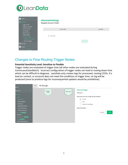

| Home<br><b>(a)</b> Matching<br>$\sim$<br><b>Tagging Finder</b><br>Tagging Tie-Breakers | <b>Advanced Settings</b><br><b>Mapped Account Fields</b> |                   |
|----------------------------------------------------------------------------------------|----------------------------------------------------------|-------------------|
| <b>Account Scoring</b><br>List Analyzer                                                | <b>Account Field</b>                                     | <b>Lead Field</b> |
| <b>Buyer Persona</b>                                                                   |                                                          |                   |
| Match Settings<br><b>Advanced Settings</b><br>$\sim$                                   | Create New<br>$^{(+)}$                                   |                   |
| Mapped Account Fields<br>One-Time Tagging                                              |                                                          | Save              |
| <b>e</b> Routing                                                                       |                                                          |                   |
| <b>ij</b> People                                                                       |                                                          |                   |
|                                                                                        |                                                          |                   |

### <span id="page-4-0"></span>Changes to Flow Routing Trigger Nodes

#### **Potential Sensitivity Level: Sensitive to Flexible**

Trigger nodes are evaluated at trigger time (all other nodes are evaluated during ContinuousCleanBatch). Incorrect configuration of trigger nodes can lead to routing down time which can be difficult to diagnose. LeanData only creates logs for processed, routing CCIOs. If a lead (or contact, or account) does not meet the conditions at trigger time, no log will be produced (since to produce logs for inconsequential updates would be prohibitive).

| Home                        |        | DRAFT | <b>RR</b> Realign |                                                                             |                                                |              |
|-----------------------------|--------|-------|-------------------|-----------------------------------------------------------------------------|------------------------------------------------|--------------|
| Matching                    |        |       | Updated<br>Lead   | $\left( \begin{matrix} \bullet \\ \bullet \end{matrix} \right)$<br>New Lead | <b>New Lead Trigger</b><br>Description >       |              |
| Routing                     | $\sim$ |       |                   |                                                                             |                                                |              |
| Leads                       | $\sim$ |       |                   |                                                                             | New Leads to be sent through the lead workflow |              |
| FlowBuilder                 |        |       |                   |                                                                             | All Leads<br>$\bullet$                         |              |
| Routing Insights            |        |       |                   |                                                                             | None                                           |              |
| Audit Logs                  |        |       |                   |                                                                             | Include The Leads Below:                       |              |
| Deployment History          |        |       |                   |                                                                             |                                                |              |
| One-Time Routing            |        |       |                   |                                                                             | Advanced Settings >                            |              |
| Advanced Settings           |        |       |                   |                                                                             |                                                |              |
| Contacts UPGRADE            |        |       |                   |                                                                             |                                                | OK<br>Cancel |
| Accounts                    |        |       |                   |                                                                             |                                                |              |
| Opportunities UPGRADE       |        |       |                   |                                                                             |                                                |              |
| Cases UPGRADE               |        |       |                   |                                                                             |                                                |              |
| <b>Territory Management</b> |        |       |                   |                                                                             |                                                |              |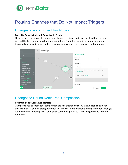# **D**LeanData

# <span id="page-5-0"></span>Routing Changes that Do Not Impact Triggers

## <span id="page-5-1"></span>Changes to non-Trigger Flow Nodes

#### **Potential Sensitivity Level: Sensitive to Flexible**

These changes are easier to debug than changes to trigger nodes, as any lead that moves beyond the trigger nodes will produce audit logs. Audit logs include a summary of nodes traversed and include a link to the version of deployment the record was routed under.



## <span id="page-5-2"></span>Changes to Round Robin Pool Composition

#### **Potential Sensitivity Level: Flexible**

Changes to round robin pool composition are not tracked by LeanData (version control for these changes would be storage prohibitive) and therefore problems arising from pool changes can be difficult to debug. Most enterprise customers prefer to track changes made to round robin pools.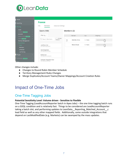

| Home                                                       |                                                                     |                                        |          |           |
|------------------------------------------------------------|---------------------------------------------------------------------|----------------------------------------|----------|-----------|
| Matching                                                   | <b>France</b>                                                       |                                        |          |           |
| Routing                                                    | Members<br>Advanced Settings<br>Info<br>$\sim$                      |                                        |          |           |
| Leads<br>Contacts UPGRADE                                  | $\left\langle \right\rangle$<br><b>Users (100)</b><br>$\rightarrow$ | Members (2)                            |          |           |
| Accounts<br>Opportunities UPGRADE                          | $\rightarrow$<br>Filter by $\vee$<br>$\rightarrow$                  | Member                                 | Cap      | Weighting |
| Cases UPGRADE<br><b>Territory Management</b>               | Include<br>п<br>Q Search Members<br>mactive                         | $L_{\rm p}$<br>Mathilde Chirac<br>NEXT | 0 - None |           |
| Round Robin<br>Pools<br><b>Members</b>                     | $\sim$<br>LeanData User<br>0051B00000DgitQQAR                       | Manon Rivoal                           | 0 - None |           |
| <b>Schedules</b><br>Live Routing                           | Clari Integration<br>0051B00000Cq5CdQAJ                             |                                        |          |           |
| People                                                     | <b>Bizible User</b><br>0051B00000CmNG6QAN                           |                                        |          |           |
| Attribution UPGRADE<br>$\overline{\phantom{a}}$ $\sqrt{a}$ | $\rightarrow$<br>Outreach Integration User<br>0051B00000Cq7BhQAJ    |                                        |          |           |

Other changes include:

- Changes to Round Robin Member Schedule
- Territory Management Rules Changes
- Merge Duplicates/Account Teams/Owner Mappings/Account Creation Rules

# <span id="page-6-0"></span>Impact of One-Time Jobs

## <span id="page-6-1"></span>One-Time Tagging Jobs

#### **Potential Sensitivity Level: Volume driven - Sensitive to Flexible**

One-Time Tagging (LeadAccountReporter batch in Apex Jobs) – the one time tagging batch runs on a SOQL condition and is relatively fast. Things to be considered are LeadAccountReporter taking a batch slot, and performing updates to LeanData Reporting Matched Account c lead field as well as any other mapped fields. Additionally, some outside integrations that depend on LastModifiedDate (e.g. Marketo) can be swamped by the mass updates.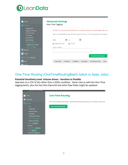

| Home                                                                                                                                                                                                                                  | <b>Advanced Settings</b>                                                                                                                                                                                                                                                                                                    |  |
|---------------------------------------------------------------------------------------------------------------------------------------------------------------------------------------------------------------------------------------|-----------------------------------------------------------------------------------------------------------------------------------------------------------------------------------------------------------------------------------------------------------------------------------------------------------------------------|--|
| <b>Matching</b><br><b>Tagging Finder</b><br>Tagging Tie-Breakers<br><b>Account Scoring</b><br>List Analyzer<br><b>Buyer Persona</b><br><b>Match Settings</b><br><b>Advanced Settings</b><br>Mapped Account Fields<br>One-Time Tagging | <b>One-Time Tagging</b><br>CAUTION: Only use after you've talked with your LeanData Customer Success Manager. Failure to<br>Match and tag Salesforce leads with their respective accounts. This will populate the Lead Reportir<br>$\frac{1000}{31}$<br>当<br>Dates<br>to<br>Beginning of Time<br>Current<br>Query Condition |  |
| ⊜<br>Routing                                                                                                                                                                                                                          |                                                                                                                                                                                                                                                                                                                             |  |
| People                                                                                                                                                                                                                                | <b>Run One-Time Match</b>                                                                                                                                                                                                                                                                                                   |  |
| <b>MIL Attribution UPGRADE</b>                                                                                                                                                                                                        |                                                                                                                                                                                                                                                                                                                             |  |
| m<br>View                                                                                                                                                                                                                             | <b>End Date</b><br>Condition<br><b>Completion Date</b><br><b>Start Date</b><br>Run Date<br>User                                                                                                                                                                                                                             |  |
| $\Delta$ Admin                                                                                                                                                                                                                        |                                                                                                                                                                                                                                                                                                                             |  |

## <span id="page-7-0"></span>One-Time Routing (OneTimeRoutingBatch batch in Apex Jobs)

#### **Potential Sensitivity Level: Volume driven - Sensitive to Flexible**

Operates on a CSV of Ids rather than a SOQL condition. Same risks as with the One-Time tagging batch, plus the fact that OwnerId and other flow fields might be updated.